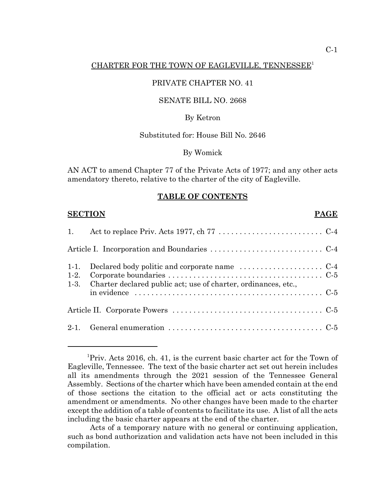#### CHARTER FOR THE TOWN OF EAGLEVILLE, TENNESSEE1

#### PRIVATE CHAPTER NO. 41

#### SENATE BILL NO. 2668

#### By Ketron

#### Substituted for: House Bill No. 2646

By Womick

AN ACT to amend Chapter 77 of the Private Acts of 1977; and any other acts amendatory thereto, relative to the charter of the city of Eagleville.

#### **TABLE OF CONTENTS**

| <b>SECTION</b><br><b>PAGE</b> |                                                                |
|-------------------------------|----------------------------------------------------------------|
| 1.                            |                                                                |
|                               |                                                                |
| $1-1.$<br>$1-2.$<br>$1-3.$    | Charter declared public act; use of charter, ordinances, etc., |
|                               |                                                                |
|                               |                                                                |

<sup>&</sup>lt;sup>1</sup>Priv. Acts 2016, ch. 41, is the current basic charter act for the Town of Eagleville, Tennessee. The text of the basic charter act set out herein includes all its amendments through the 2021 session of the Tennessee General Assembly. Sections of the charter which have been amended contain at the end of those sections the citation to the official act or acts constituting the amendment or amendments. No other changes have been made to the charter except the addition of a table of contents to facilitate its use. A list of all the acts including the basic charter appears at the end of the charter.

Acts of a temporary nature with no general or continuing application, such as bond authorization and validation acts have not been included in this compilation.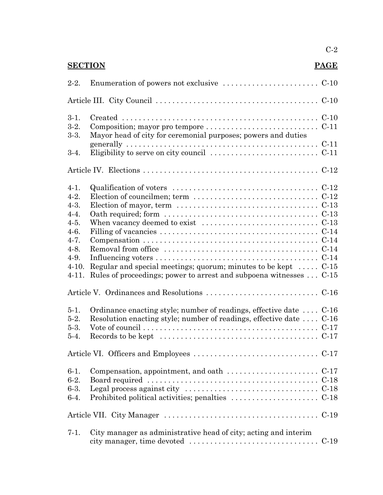| <b>SECTION</b><br>PAGE                                                                                                       |                                                                                                                                                                                                                                                                                                                                                                                                                              |                            |
|------------------------------------------------------------------------------------------------------------------------------|------------------------------------------------------------------------------------------------------------------------------------------------------------------------------------------------------------------------------------------------------------------------------------------------------------------------------------------------------------------------------------------------------------------------------|----------------------------|
| $2-2.$                                                                                                                       |                                                                                                                                                                                                                                                                                                                                                                                                                              |                            |
|                                                                                                                              |                                                                                                                                                                                                                                                                                                                                                                                                                              |                            |
| $3-1.$<br>$3-2.$<br>$3-3.$                                                                                                   | Composition; mayor pro tempore $\dots \dots \dots \dots \dots \dots \dots \dots \dots$<br>Mayor head of city for ceremonial purposes; powers and duties                                                                                                                                                                                                                                                                      | $C-11$                     |
| $3-4.$                                                                                                                       |                                                                                                                                                                                                                                                                                                                                                                                                                              | $C-11$                     |
|                                                                                                                              |                                                                                                                                                                                                                                                                                                                                                                                                                              |                            |
| $4-1.$<br>$4-2.$<br>$4-3.$<br>$4 - 4.$<br>$4-5.$<br>$4 - 6.$<br>$4 - 7.$<br>$4-8.$<br>$4-9.$<br>$4-10.$<br>$4-11.$<br>$5-1.$ | Qualification of voters $\dots \dots \dots \dots \dots \dots \dots \dots \dots \dots \dots \dots \dots$<br>Election of councilmen; term $\dots \dots \dots \dots \dots \dots \dots \dots \dots \dots$<br>Regular and special meetings; quorum; minutes to be kept $\dots$<br>Rules of proceedings; power to arrest and subpoena witnesses  C-15<br>Ordinance enacting style; number of readings, effective date $\dots$ C-16 | $C-13$<br>$C-14$<br>$C-15$ |
| $5-2.$                                                                                                                       | Resolution enacting style; number of readings, effective date $\dots$ C-16                                                                                                                                                                                                                                                                                                                                                   |                            |
| $5-3.$                                                                                                                       |                                                                                                                                                                                                                                                                                                                                                                                                                              |                            |
| $5-4.$                                                                                                                       | Records to be kept $\dots \dots \dots \dots \dots \dots \dots \dots \dots \dots \dots \dots \dots$                                                                                                                                                                                                                                                                                                                           |                            |
|                                                                                                                              |                                                                                                                                                                                                                                                                                                                                                                                                                              |                            |
| $6-1.$<br>$6-2.$                                                                                                             | Compensation, appointment, and oath $\dots \dots \dots \dots \dots \dots \dots$                                                                                                                                                                                                                                                                                                                                              |                            |
| $6-3.$                                                                                                                       |                                                                                                                                                                                                                                                                                                                                                                                                                              |                            |
| $6-4.$                                                                                                                       |                                                                                                                                                                                                                                                                                                                                                                                                                              | $C-18$                     |
|                                                                                                                              |                                                                                                                                                                                                                                                                                                                                                                                                                              |                            |
| $7-1.$                                                                                                                       | City manager as administrative head of city; acting and interim                                                                                                                                                                                                                                                                                                                                                              | $C-19$                     |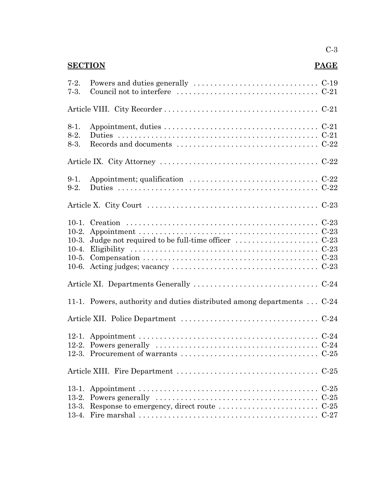# **SECTION PAGE**

| $7-2.$<br>$7-3.$                                    | Council not to interfere $\dots\dots\dots\dots\dots\dots\dots\dots\dots\dots\dots\dots$ |        |
|-----------------------------------------------------|-----------------------------------------------------------------------------------------|--------|
|                                                     |                                                                                         |        |
| $8-1.$<br>$8-2.$<br>$8-3.$                          |                                                                                         |        |
|                                                     |                                                                                         |        |
| $9-1.$<br>$9-2.$                                    |                                                                                         |        |
|                                                     |                                                                                         |        |
| $10-1.$<br>$10-2.$<br>$10-3.$<br>$10-5.$<br>$10-6.$ |                                                                                         |        |
|                                                     |                                                                                         |        |
|                                                     | 11-1. Powers, authority and duties distributed among departments  C-24                  |        |
|                                                     |                                                                                         |        |
| $12-2.$                                             |                                                                                         |        |
|                                                     |                                                                                         | $C-25$ |
|                                                     |                                                                                         | $C-25$ |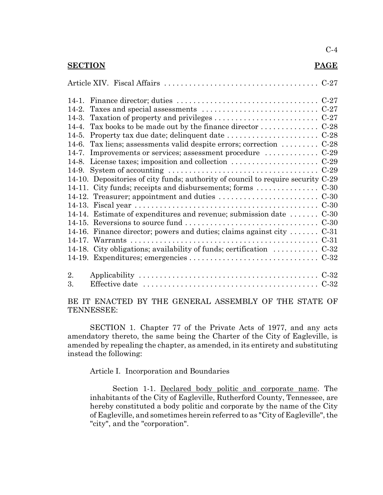#### **SECTION PAGE**

| $14-2.$ |                                                                                  |  |
|---------|----------------------------------------------------------------------------------|--|
| 14-3.   |                                                                                  |  |
| $14-4.$ | Tax books to be made out by the finance director $\dots \dots \dots \dots$       |  |
| $14-5.$ |                                                                                  |  |
| $14-6.$ | Tax liens; assessments valid despite errors; correction  C-28                    |  |
| $14-7.$ |                                                                                  |  |
|         |                                                                                  |  |
| 14-9.   |                                                                                  |  |
|         | 14-10. Depositories of city funds; authority of council to require security C-29 |  |
|         |                                                                                  |  |
|         |                                                                                  |  |
|         |                                                                                  |  |
|         | 14-14. Estimate of expenditures and revenue; submission date $\dots \dots C-30$  |  |
|         |                                                                                  |  |
|         | 14-16. Finance director; powers and duties; claims against city $C-31$           |  |
|         |                                                                                  |  |
|         | 14-18. City obligations; availability of funds; certification  C-32              |  |
|         |                                                                                  |  |
| 2.      |                                                                                  |  |
| 3.      |                                                                                  |  |

BE IT ENACTED BY THE GENERAL ASSEMBLY OF THE STATE OF TENNESSEE:

SECTION 1. Chapter 77 of the Private Acts of 1977, and any acts amendatory thereto, the same being the Charter of the City of Eagleville, is amended by repealing the chapter, as amended, in its entirety and substituting instead the following:

Article I. Incorporation and Boundaries

Section 1-1. Declared body politic and corporate name. The inhabitants of the City of Eagleville, Rutherford County, Tennessee, are hereby constituted a body politic and corporate by the name of the City of Eagleville, and sometimes herein referred to as "City of Eagleville", the "city", and the "corporation".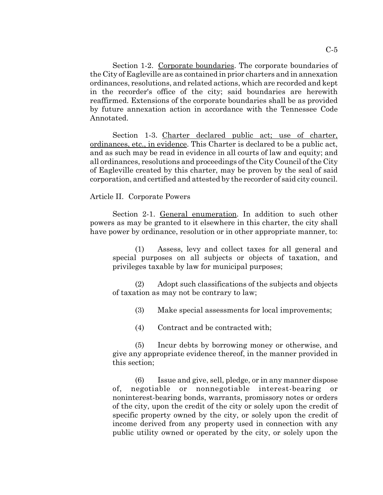Section 1-2. Corporate boundaries. The corporate boundaries of the City of Eagleville are as contained in prior charters and in annexation ordinances, resolutions, and related actions, which are recorded and kept in the recorder's office of the city; said boundaries are herewith reaffirmed. Extensions of the corporate boundaries shall be as provided by future annexation action in accordance with the Tennessee Code Annotated.

Section 1-3. Charter declared public act; use of charter, ordinances, etc., in evidence. This Charter is declared to be a public act, and as such may be read in evidence in all courts of law and equity; and all ordinances, resolutions and proceedings of the City Council of the City of Eagleville created by this charter, may be proven by the seal of said corporation, and certified and attested by the recorder of said city council.

#### Article II. Corporate Powers

Section 2-1. General enumeration. In addition to such other powers as may be granted to it elsewhere in this charter, the city shall have power by ordinance, resolution or in other appropriate manner, to:

(1) Assess, levy and collect taxes for all general and special purposes on all subjects or objects of taxation, and privileges taxable by law for municipal purposes;

(2) Adopt such classifications of the subjects and objects of taxation as may not be contrary to law;

(3) Make special assessments for local improvements;

(5) Incur debts by borrowing money or otherwise, and give any appropriate evidence thereof, in the manner provided in this section;

(6) Issue and give, sell, pledge, or in any manner dispose of, negotiable or nonnegotiable interest-bearing or noninterest-bearing bonds, warrants, promissory notes or orders of the city, upon the credit of the city or solely upon the credit of specific property owned by the city, or solely upon the credit of income derived from any property used in connection with any public utility owned or operated by the city, or solely upon the

<sup>(4)</sup> Contract and be contracted with;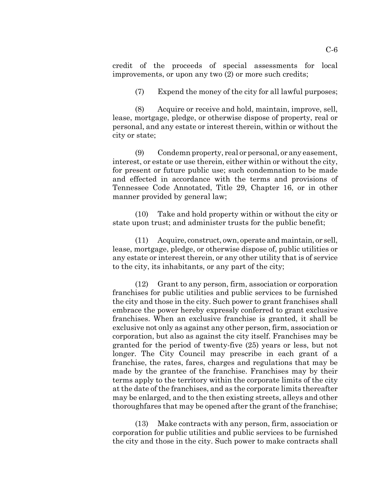credit of the proceeds of special assessments for local improvements, or upon any two (2) or more such credits;

(7) Expend the money of the city for all lawful purposes;

(8) Acquire or receive and hold, maintain, improve, sell, lease, mortgage, pledge, or otherwise dispose of property, real or personal, and any estate or interest therein, within or without the city or state;

(9) Condemn property, real or personal, or any easement, interest, or estate or use therein, either within or without the city, for present or future public use; such condemnation to be made and effected in accordance with the terms and provisions of Tennessee Code Annotated, Title 29, Chapter 16, or in other manner provided by general law;

(10) Take and hold property within or without the city or state upon trust; and administer trusts for the public benefit;

(11) Acquire, construct, own, operate and maintain, or sell, lease, mortgage, pledge, or otherwise dispose of, public utilities or any estate or interest therein, or any other utility that is of service to the city, its inhabitants, or any part of the city;

(12) Grant to any person, firm, association or corporation franchises for public utilities and public services to be furnished the city and those in the city. Such power to grant franchises shall embrace the power hereby expressly conferred to grant exclusive franchises. When an exclusive franchise is granted, it shall be exclusive not only as against any other person, firm, association or corporation, but also as against the city itself. Franchises may be granted for the period of twenty-five (25) years or less, but not longer. The City Council may prescribe in each grant of a franchise, the rates, fares, charges and regulations that may be made by the grantee of the franchise. Franchises may by their terms apply to the territory within the corporate limits of the city at the date of the franchises, and as the corporate limits thereafter may be enlarged, and to the then existing streets, alleys and other thoroughfares that may be opened after the grant of the franchise;

(13) Make contracts with any person, firm, association or corporation for public utilities and public services to be furnished the city and those in the city. Such power to make contracts shall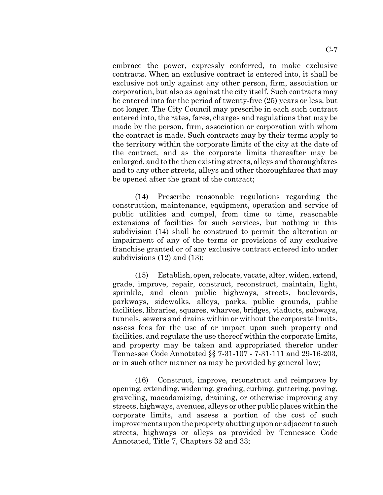embrace the power, expressly conferred, to make exclusive contracts. When an exclusive contract is entered into, it shall be exclusive not only against any other person, firm, association or corporation, but also as against the city itself. Such contracts may be entered into for the period of twenty-five (25) years or less, but not longer. The City Council may prescribe in each such contract entered into, the rates, fares, charges and regulations that may be made by the person, firm, association or corporation with whom the contract is made. Such contracts may by their terms apply to the territory within the corporate limits of the city at the date of the contract, and as the corporate limits thereafter may be enlarged, and to the then existing streets, alleys and thoroughfares and to any other streets, alleys and other thoroughfares that may be opened after the grant of the contract;

(14) Prescribe reasonable regulations regarding the construction, maintenance, equipment, operation and service of public utilities and compel, from time to time, reasonable extensions of facilities for such services, but nothing in this subdivision (14) shall be construed to permit the alteration or impairment of any of the terms or provisions of any exclusive franchise granted or of any exclusive contract entered into under subdivisions (12) and (13);

(15) Establish, open, relocate, vacate, alter, widen, extend, grade, improve, repair, construct, reconstruct, maintain, light, sprinkle, and clean public highways, streets, boulevards, parkways, sidewalks, alleys, parks, public grounds, public facilities, libraries, squares, wharves, bridges, viaducts, subways, tunnels, sewers and drains within or without the corporate limits, assess fees for the use of or impact upon such property and facilities, and regulate the use thereof within the corporate limits, and property may be taken and appropriated therefor under Tennessee Code Annotated §§ 7-31-107 - 7-31-111 and 29-16-203, or in such other manner as may be provided by general law;

(16) Construct, improve, reconstruct and reimprove by opening, extending, widening, grading, curbing, guttering, paving, graveling, macadamizing, draining, or otherwise improving any streets, highways, avenues, alleys or other public places within the corporate limits, and assess a portion of the cost of such improvements upon the property abutting upon or adjacent to such streets, highways or alleys as provided by Tennessee Code Annotated, Title 7, Chapters 32 and 33;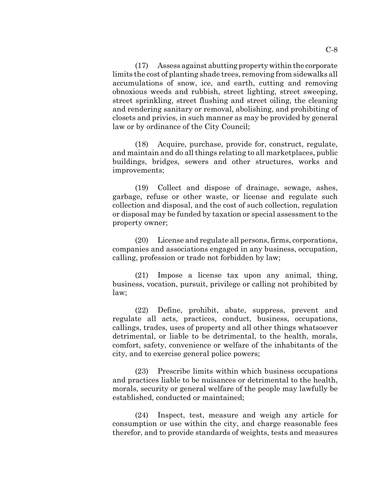(17) Assess against abutting property within the corporate limits the cost of planting shade trees, removing from sidewalks all accumulations of snow, ice, and earth, cutting and removing obnoxious weeds and rubbish, street lighting, street sweeping, street sprinkling, street flushing and street oiling, the cleaning and rendering sanitary or removal, abolishing, and prohibiting of closets and privies, in such manner as may be provided by general law or by ordinance of the City Council;

(18) Acquire, purchase, provide for, construct, regulate, and maintain and do all things relating to all marketplaces, public buildings, bridges, sewers and other structures, works and improvements;

(19) Collect and dispose of drainage, sewage, ashes, garbage, refuse or other waste, or license and regulate such collection and disposal, and the cost of such collection, regulation or disposal may be funded by taxation or special assessment to the property owner;

(20) License and regulate all persons, firms, corporations, companies and associations engaged in any business, occupation, calling, profession or trade not forbidden by law;

(21) Impose a license tax upon any animal, thing, business, vocation, pursuit, privilege or calling not prohibited by law;

(22) Define, prohibit, abate, suppress, prevent and regulate all acts, practices, conduct, business, occupations, callings, trades, uses of property and all other things whatsoever detrimental, or liable to be detrimental, to the health, morals, comfort, safety, convenience or welfare of the inhabitants of the city, and to exercise general police powers;

(23) Prescribe limits within which business occupations and practices liable to be nuisances or detrimental to the health, morals, security or general welfare of the people may lawfully be established, conducted or maintained;

(24) Inspect, test, measure and weigh any article for consumption or use within the city, and charge reasonable fees therefor, and to provide standards of weights, tests and measures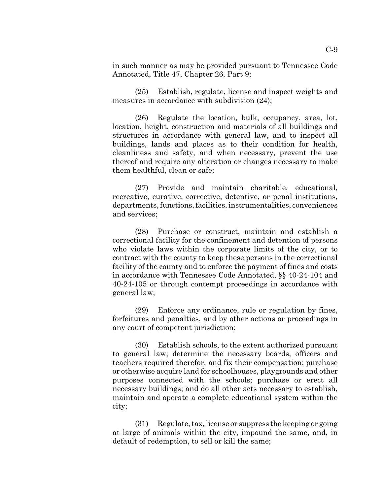in such manner as may be provided pursuant to Tennessee Code Annotated, Title 47, Chapter 26, Part 9;

(25) Establish, regulate, license and inspect weights and measures in accordance with subdivision (24);

(26) Regulate the location, bulk, occupancy, area, lot, location, height, construction and materials of all buildings and structures in accordance with general law, and to inspect all buildings, lands and places as to their condition for health, cleanliness and safety, and when necessary, prevent the use thereof and require any alteration or changes necessary to make them healthful, clean or safe;

(27) Provide and maintain charitable, educational, recreative, curative, corrective, detentive, or penal institutions, departments, functions, facilities, instrumentalities, conveniences and services;

(28) Purchase or construct, maintain and establish a correctional facility for the confinement and detention of persons who violate laws within the corporate limits of the city, or to contract with the county to keep these persons in the correctional facility of the county and to enforce the payment of fines and costs in accordance with Tennessee Code Annotated, §§ 40-24-104 and 40-24-105 or through contempt proceedings in accordance with general law;

(29) Enforce any ordinance, rule or regulation by fines, forfeitures and penalties, and by other actions or proceedings in any court of competent jurisdiction;

(30) Establish schools, to the extent authorized pursuant to general law; determine the necessary boards, officers and teachers required therefor, and fix their compensation; purchase or otherwise acquire land for schoolhouses, playgrounds and other purposes connected with the schools; purchase or erect all necessary buildings; and do all other acts necessary to establish, maintain and operate a complete educational system within the city;

(31) Regulate, tax, license or suppress the keeping or going at large of animals within the city, impound the same, and, in default of redemption, to sell or kill the same;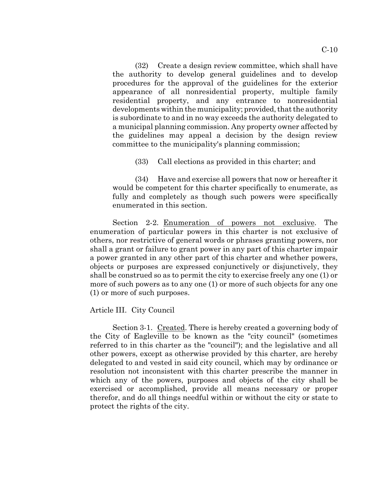(32) Create a design review committee, which shall have the authority to develop general guidelines and to develop procedures for the approval of the guidelines for the exterior appearance of all nonresidential property, multiple family residential property, and any entrance to nonresidential developments within the municipality; provided, that the authority is subordinate to and in no way exceeds the authority delegated to a municipal planning commission. Any property owner affected by the guidelines may appeal a decision by the design review committee to the municipality's planning commission;

(33) Call elections as provided in this charter; and

(34) Have and exercise all powers that now or hereafter it would be competent for this charter specifically to enumerate, as fully and completely as though such powers were specifically enumerated in this section.

Section 2-2. Enumeration of powers not exclusive. The enumeration of particular powers in this charter is not exclusive of others, nor restrictive of general words or phrases granting powers, nor shall a grant or failure to grant power in any part of this charter impair a power granted in any other part of this charter and whether powers, objects or purposes are expressed conjunctively or disjunctively, they shall be construed so as to permit the city to exercise freely any one (1) or more of such powers as to any one (1) or more of such objects for any one (1) or more of such purposes.

Article III. City Council

Section 3-1. Created. There is hereby created a governing body of the City of Eagleville to be known as the "city council" (sometimes referred to in this charter as the "council"); and the legislative and all other powers, except as otherwise provided by this charter, are hereby delegated to and vested in said city council, which may by ordinance or resolution not inconsistent with this charter prescribe the manner in which any of the powers, purposes and objects of the city shall be exercised or accomplished, provide all means necessary or proper therefor, and do all things needful within or without the city or state to protect the rights of the city.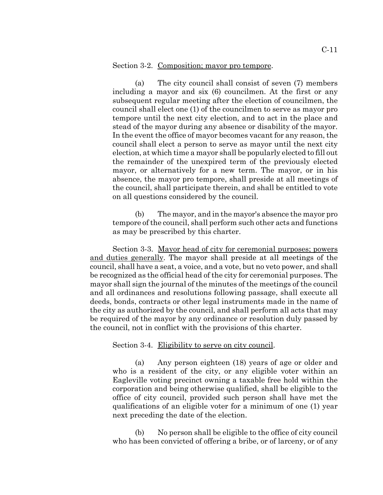#### Section 3-2. Composition; mayor pro tempore.

(a) The city council shall consist of seven (7) members including a mayor and six (6) councilmen. At the first or any subsequent regular meeting after the election of councilmen, the council shall elect one (1) of the councilmen to serve as mayor pro tempore until the next city election, and to act in the place and stead of the mayor during any absence or disability of the mayor. In the event the office of mayor becomes vacant for any reason, the council shall elect a person to serve as mayor until the next city election, at which time a mayor shall be popularly elected to fill out the remainder of the unexpired term of the previously elected mayor, or alternatively for a new term. The mayor, or in his absence, the mayor pro tempore, shall preside at all meetings of the council, shall participate therein, and shall be entitled to vote on all questions considered by the council.

(b) The mayor, and in the mayor's absence the mayor pro tempore of the council, shall perform such other acts and functions as may be prescribed by this charter.

Section 3-3. Mayor head of city for ceremonial purposes; powers and duties generally. The mayor shall preside at all meetings of the council, shall have a seat, a voice, and a vote, but no veto power, and shall be recognized as the official head of the city for ceremonial purposes. The mayor shall sign the journal of the minutes of the meetings of the council and all ordinances and resolutions following passage, shall execute all deeds, bonds, contracts or other legal instruments made in the name of the city as authorized by the council, and shall perform all acts that may be required of the mayor by any ordinance or resolution duly passed by the council, not in conflict with the provisions of this charter.

#### Section 3-4. Eligibility to serve on city council.

(a) Any person eighteen (18) years of age or older and who is a resident of the city, or any eligible voter within an Eagleville voting precinct owning a taxable free hold within the corporation and being otherwise qualified, shall be eligible to the office of city council, provided such person shall have met the qualifications of an eligible voter for a minimum of one (1) year next preceding the date of the election.

(b) No person shall be eligible to the office of city council who has been convicted of offering a bribe, or of larceny, or of any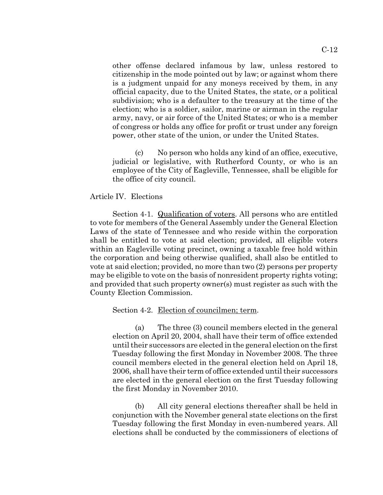other offense declared infamous by law, unless restored to citizenship in the mode pointed out by law; or against whom there is a judgment unpaid for any moneys received by them, in any official capacity, due to the United States, the state, or a political subdivision; who is a defaulter to the treasury at the time of the election; who is a soldier, sailor, marine or airman in the regular army, navy, or air force of the United States; or who is a member of congress or holds any office for profit or trust under any foreign power, other state of the union, or under the United States.

(c) No person who holds any kind of an office, executive, judicial or legislative, with Rutherford County, or who is an employee of the City of Eagleville, Tennessee, shall be eligible for the office of city council.

#### Article IV. Elections

Section 4-1. Qualification of voters. All persons who are entitled to vote for members of the General Assembly under the General Election Laws of the state of Tennessee and who reside within the corporation shall be entitled to vote at said election; provided, all eligible voters within an Eagleville voting precinct, owning a taxable free hold within the corporation and being otherwise qualified, shall also be entitled to vote at said election; provided, no more than two (2) persons per property may be eligible to vote on the basis of nonresident property rights voting; and provided that such property owner(s) must register as such with the County Election Commission.

#### Section 4-2. Election of councilmen; term.

(a) The three (3) council members elected in the general election on April 20, 2004, shall have their term of office extended until their successors are elected in the general election on the first Tuesday following the first Monday in November 2008. The three council members elected in the general election held on April 18, 2006, shall have their term of office extended until their successors are elected in the general election on the first Tuesday following the first Monday in November 2010.

(b) All city general elections thereafter shall be held in conjunction with the November general state elections on the first Tuesday following the first Monday in even-numbered years. All elections shall be conducted by the commissioners of elections of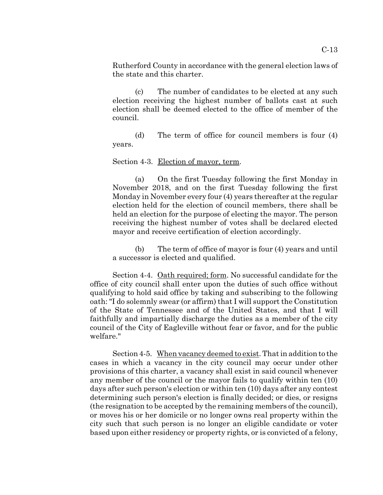Rutherford County in accordance with the general election laws of the state and this charter.

(c) The number of candidates to be elected at any such election receiving the highest number of ballots cast at such election shall be deemed elected to the office of member of the council.

(d) The term of office for council members is four (4) years.

Section 4-3. Election of mayor, term.

(a) On the first Tuesday following the first Monday in November 2018, and on the first Tuesday following the first Monday in November every four (4) years thereafter at the regular election held for the election of council members, there shall be held an election for the purpose of electing the mayor. The person receiving the highest number of votes shall be declared elected mayor and receive certification of election accordingly.

(b) The term of office of mayor is four (4) years and until a successor is elected and qualified.

Section 4-4. Oath required; form. No successful candidate for the office of city council shall enter upon the duties of such office without qualifying to hold said office by taking and subscribing to the following oath: "I do solemnly swear (or affirm) that I will support the Constitution of the State of Tennessee and of the United States, and that I will faithfully and impartially discharge the duties as a member of the city council of the City of Eagleville without fear or favor, and for the public welfare."

Section 4-5. When vacancy deemed to exist. That in addition to the cases in which a vacancy in the city council may occur under other provisions of this charter, a vacancy shall exist in said council whenever any member of the council or the mayor fails to qualify within ten (10) days after such person's election or within ten (10) days after any contest determining such person's election is finally decided; or dies, or resigns (the resignation to be accepted by the remaining members of the council), or moves his or her domicile or no longer owns real property within the city such that such person is no longer an eligible candidate or voter based upon either residency or property rights, or is convicted of a felony,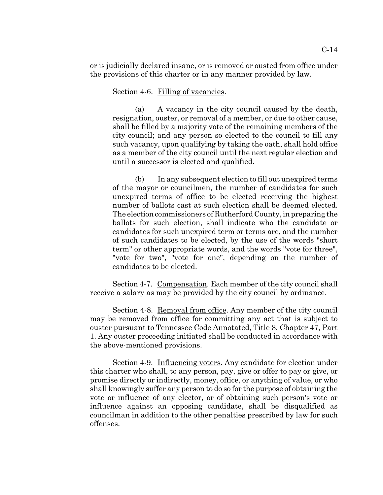or is judicially declared insane, or is removed or ousted from office under the provisions of this charter or in any manner provided by law.

Section 4-6. Filling of vacancies.

(a) A vacancy in the city council caused by the death, resignation, ouster, or removal of a member, or due to other cause, shall be filled by a majority vote of the remaining members of the city council; and any person so elected to the council to fill any such vacancy, upon qualifying by taking the oath, shall hold office as a member of the city council until the next regular election and until a successor is elected and qualified.

(b) In any subsequent election to fill out unexpired terms of the mayor or councilmen, the number of candidates for such unexpired terms of office to be elected receiving the highest number of ballots cast at such election shall be deemed elected. The election commissioners of Rutherford County, in preparing the ballots for such election, shall indicate who the candidate or candidates for such unexpired term or terms are, and the number of such candidates to be elected, by the use of the words "short term" or other appropriate words, and the words "vote for three", "vote for two", "vote for one", depending on the number of candidates to be elected.

Section 4-7. Compensation. Each member of the city council shall receive a salary as may be provided by the city council by ordinance.

Section 4-8. Removal from office. Any member of the city council may be removed from office for committing any act that is subject to ouster pursuant to Tennessee Code Annotated, Title 8, Chapter 47, Part 1. Any ouster proceeding initiated shall be conducted in accordance with the above-mentioned provisions.

Section 4-9. Influencing voters. Any candidate for election under this charter who shall, to any person, pay, give or offer to pay or give, or promise directly or indirectly, money, office, or anything of value, or who shall knowingly suffer any person to do so for the purpose of obtaining the vote or influence of any elector, or of obtaining such person's vote or influence against an opposing candidate, shall be disqualified as councilman in addition to the other penalties prescribed by law for such offenses.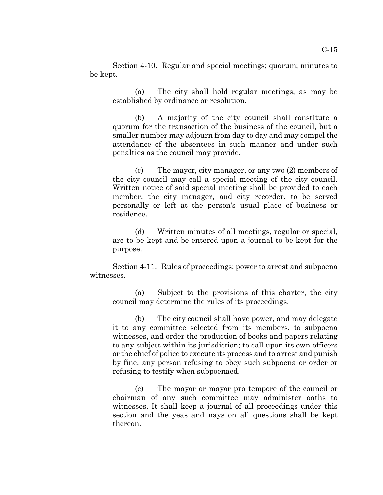Section 4-10. Regular and special meetings; quorum; minutes to be kept.

(a) The city shall hold regular meetings, as may be established by ordinance or resolution.

(b) A majority of the city council shall constitute a quorum for the transaction of the business of the council, but a smaller number may adjourn from day to day and may compel the attendance of the absentees in such manner and under such penalties as the council may provide.

(c) The mayor, city manager, or any two (2) members of the city council may call a special meeting of the city council. Written notice of said special meeting shall be provided to each member, the city manager, and city recorder, to be served personally or left at the person's usual place of business or residence.

(d) Written minutes of all meetings, regular or special, are to be kept and be entered upon a journal to be kept for the purpose.

Section 4-11. Rules of proceedings; power to arrest and subpoena witnesses.

(a) Subject to the provisions of this charter, the city council may determine the rules of its proceedings.

(b) The city council shall have power, and may delegate it to any committee selected from its members, to subpoena witnesses, and order the production of books and papers relating to any subject within its jurisdiction; to call upon its own officers or the chief of police to execute its process and to arrest and punish by fine, any person refusing to obey such subpoena or order or refusing to testify when subpoenaed.

(c) The mayor or mayor pro tempore of the council or chairman of any such committee may administer oaths to witnesses. It shall keep a journal of all proceedings under this section and the yeas and nays on all questions shall be kept thereon.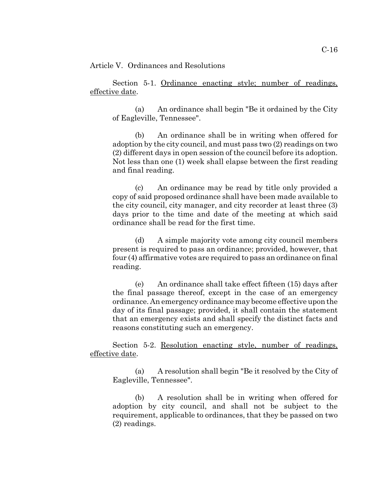Article V. Ordinances and Resolutions

Section 5-1. Ordinance enacting style; number of readings, effective date.

(a) An ordinance shall begin "Be it ordained by the City of Eagleville, Tennessee".

(b) An ordinance shall be in writing when offered for adoption by the city council, and must pass two (2) readings on two (2) different days in open session of the council before its adoption. Not less than one (1) week shall elapse between the first reading and final reading.

(c) An ordinance may be read by title only provided a copy of said proposed ordinance shall have been made available to the city council, city manager, and city recorder at least three (3) days prior to the time and date of the meeting at which said ordinance shall be read for the first time.

(d) A simple majority vote among city council members present is required to pass an ordinance; provided, however, that four (4) affirmative votes are required to pass an ordinance on final reading.

(e) An ordinance shall take effect fifteen (15) days after the final passage thereof, except in the case of an emergency ordinance. An emergency ordinance may become effective upon the day of its final passage; provided, it shall contain the statement that an emergency exists and shall specify the distinct facts and reasons constituting such an emergency.

Section 5-2. <u>Resolution enacting style, number of readings</u>, effective date.

(a) A resolution shall begin "Be it resolved by the City of Eagleville, Tennessee".

(b) A resolution shall be in writing when offered for adoption by city council, and shall not be subject to the requirement, applicable to ordinances, that they be passed on two (2) readings.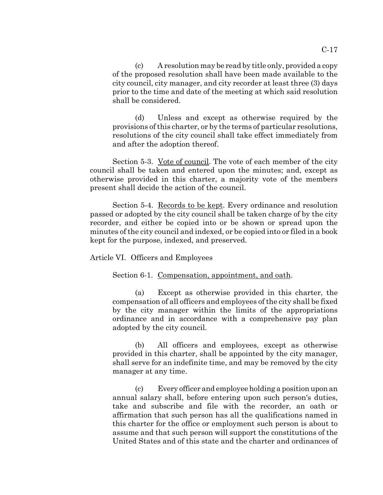(c) A resolution may be read by title only, provided a copy of the proposed resolution shall have been made available to the city council, city manager, and city recorder at least three (3) days prior to the time and date of the meeting at which said resolution shall be considered.

(d) Unless and except as otherwise required by the provisions of this charter, or by the terms of particular resolutions, resolutions of the city council shall take effect immediately from and after the adoption thereof.

Section 5-3. Vote of council. The vote of each member of the city council shall be taken and entered upon the minutes; and, except as otherwise provided in this charter, a majority vote of the members present shall decide the action of the council.

Section 5-4. Records to be kept. Every ordinance and resolution passed or adopted by the city council shall be taken charge of by the city recorder, and either be copied into or be shown or spread upon the minutes of the city council and indexed, or be copied into or filed in a book kept for the purpose, indexed, and preserved.

Article VI. Officers and Employees

Section 6-1. Compensation, appointment, and oath.

(a) Except as otherwise provided in this charter, the compensation of all officers and employees of the city shall be fixed by the city manager within the limits of the appropriations ordinance and in accordance with a comprehensive pay plan adopted by the city council.

(b) All officers and employees, except as otherwise provided in this charter, shall be appointed by the city manager, shall serve for an indefinite time, and may be removed by the city manager at any time.

(c) Every officer and employee holding a position upon an annual salary shall, before entering upon such person's duties, take and subscribe and file with the recorder, an oath or affirmation that such person has all the qualifications named in this charter for the office or employment such person is about to assume and that such person will support the constitutions of the United States and of this state and the charter and ordinances of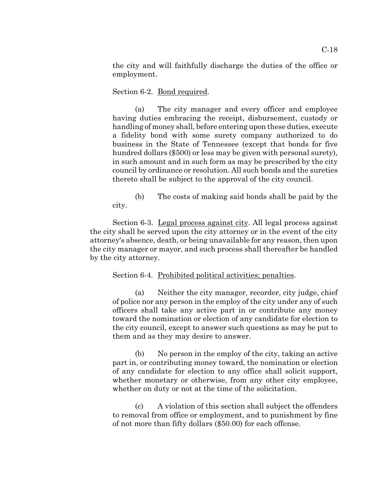the city and will faithfully discharge the duties of the office or employment.

Section 6-2. Bond required.

(a) The city manager and every officer and employee having duties embracing the receipt, disbursement, custody or handling of money shall, before entering upon these duties, execute a fidelity bond with some surety company authorized to do business in the State of Tennessee (except that bonds for five hundred dollars (\$500) or less may be given with personal surety), in such amount and in such form as may be prescribed by the city council by ordinance or resolution. All such bonds and the sureties thereto shall be subject to the approval of the city council.

(b) The costs of making said bonds shall be paid by the city.

Section 6-3. Legal process against city. All legal process against the city shall be served upon the city attorney or in the event of the city attorney's absence, death, or being unavailable for any reason, then upon the city manager or mayor, and such process shall thereafter be handled by the city attorney.

Section 6-4. Prohibited political activities; penalties.

(a) Neither the city manager, recorder, city judge, chief of police nor any person in the employ of the city under any of such officers shall take any active part in or contribute any money toward the nomination or election of any candidate for election to the city council, except to answer such questions as may be put to them and as they may desire to answer.

(b) No person in the employ of the city, taking an active part in, or contributing money toward, the nomination or election of any candidate for election to any office shall solicit support, whether monetary or otherwise, from any other city employee, whether on duty or not at the time of the solicitation.

(c) A violation of this section shall subject the offenders to removal from office or employment, and to punishment by fine of not more than fifty dollars (\$50.00) for each offense.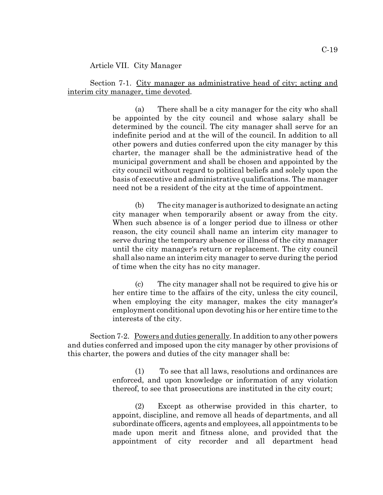#### Article VII. City Manager

Section 7-1. City manager as administrative head of city; acting and interim city manager, time devoted.

> (a) There shall be a city manager for the city who shall be appointed by the city council and whose salary shall be determined by the council. The city manager shall serve for an indefinite period and at the will of the council. In addition to all other powers and duties conferred upon the city manager by this charter, the manager shall be the administrative head of the municipal government and shall be chosen and appointed by the city council without regard to political beliefs and solely upon the basis of executive and administrative qualifications. The manager need not be a resident of the city at the time of appointment.

> (b) The city manager is authorized to designate an acting city manager when temporarily absent or away from the city. When such absence is of a longer period due to illness or other reason, the city council shall name an interim city manager to serve during the temporary absence or illness of the city manager until the city manager's return or replacement. The city council shall also name an interim city manager to serve during the period of time when the city has no city manager.

> (c) The city manager shall not be required to give his or her entire time to the affairs of the city, unless the city council, when employing the city manager, makes the city manager's employment conditional upon devoting his or her entire time to the interests of the city.

Section 7-2. Powers and duties generally. In addition to any other powers and duties conferred and imposed upon the city manager by other provisions of this charter, the powers and duties of the city manager shall be:

> (1) To see that all laws, resolutions and ordinances are enforced, and upon knowledge or information of any violation thereof, to see that prosecutions are instituted in the city court;

> (2) Except as otherwise provided in this charter, to appoint, discipline, and remove all heads of departments, and all subordinate officers, agents and employees, all appointments to be made upon merit and fitness alone, and provided that the appointment of city recorder and all department head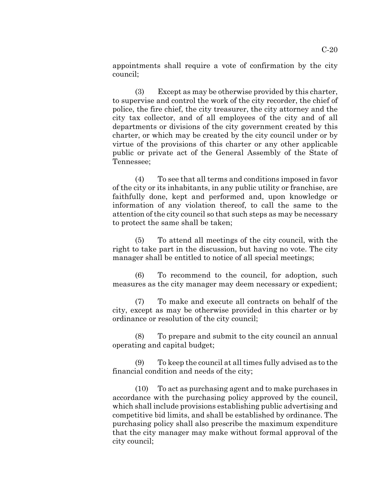appointments shall require a vote of confirmation by the city council;

(3) Except as may be otherwise provided by this charter, to supervise and control the work of the city recorder, the chief of police, the fire chief, the city treasurer, the city attorney and the city tax collector, and of all employees of the city and of all departments or divisions of the city government created by this charter, or which may be created by the city council under or by virtue of the provisions of this charter or any other applicable public or private act of the General Assembly of the State of Tennessee;

(4) To see that all terms and conditions imposed in favor of the city or its inhabitants, in any public utility or franchise, are faithfully done, kept and performed and, upon knowledge or information of any violation thereof, to call the same to the attention of the city council so that such steps as may be necessary to protect the same shall be taken;

(5) To attend all meetings of the city council, with the right to take part in the discussion, but having no vote. The city manager shall be entitled to notice of all special meetings;

(6) To recommend to the council, for adoption, such measures as the city manager may deem necessary or expedient;

(7) To make and execute all contracts on behalf of the city, except as may be otherwise provided in this charter or by ordinance or resolution of the city council;

(8) To prepare and submit to the city council an annual operating and capital budget;

(9) To keep the council at all times fully advised as to the financial condition and needs of the city;

(10) To act as purchasing agent and to make purchases in accordance with the purchasing policy approved by the council, which shall include provisions establishing public advertising and competitive bid limits, and shall be established by ordinance. The purchasing policy shall also prescribe the maximum expenditure that the city manager may make without formal approval of the city council;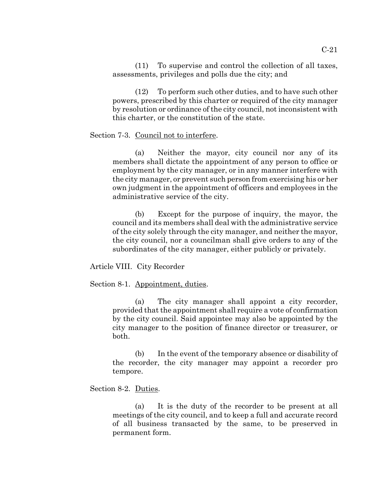(11) To supervise and control the collection of all taxes, assessments, privileges and polls due the city; and

(12) To perform such other duties, and to have such other powers, prescribed by this charter or required of the city manager by resolution or ordinance of the city council, not inconsistent with this charter, or the constitution of the state.

#### Section 7-3. Council not to interfere.

(a) Neither the mayor, city council nor any of its members shall dictate the appointment of any person to office or employment by the city manager, or in any manner interfere with the city manager, or prevent such person from exercising his or her own judgment in the appointment of officers and employees in the administrative service of the city.

(b) Except for the purpose of inquiry, the mayor, the council and its members shall deal with the administrative service of the city solely through the city manager, and neither the mayor, the city council, nor a councilman shall give orders to any of the subordinates of the city manager, either publicly or privately.

Article VIII. City Recorder

Section 8-1. Appointment, duties.

(a) The city manager shall appoint a city recorder, provided that the appointment shall require a vote of confirmation by the city council. Said appointee may also be appointed by the city manager to the position of finance director or treasurer, or both.

(b) In the event of the temporary absence or disability of the recorder, the city manager may appoint a recorder pro tempore.

#### Section 8-2. Duties.

(a) It is the duty of the recorder to be present at all meetings of the city council, and to keep a full and accurate record of all business transacted by the same, to be preserved in permanent form.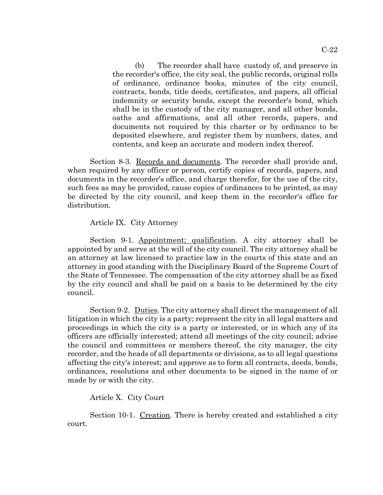(b) The recorder shall have custody of, and preserve in the recorder's office, the city seal, the public records, original rolls of ordinance, ordinance books, minutes of the city council, contracts, bonds, title deeds, certificates, and papers, all official indemnity or security bonds, except the recorder's bond, which shall be in the custody of the city manager, and all other bonds, oaths and affirmations, and all other records, papers, and documents not required by this charter or by ordinance to be deposited elsewhere, and register them by numbers, dates, and contents, and keep an accurate and modern index thereof.

Section 8-3. <u>Records and documents</u>. The recorder shall provide and, when required by any officer or person, certify copies of records, papers, and documents in the recorder's office, and charge therefor, for the use of the city, such fees as may be provided, cause copies of ordinances to be printed, as may be directed by the city council, and keep them in the recorder's office for distribution.

#### Article IX. City Attorney

Section 9-1. Appointment; qualification. A city attorney shall be appointed by and serve at the will of the city council. The city attorney shall be an attorney at law licensed to practice law in the courts of this state and an attorney in good standing with the Disciplinary Board of the Supreme Court of the State of Tennessee. The compensation of the city attorney shall be as fixed by the city council and shall be paid on a basis to be determined by the city council.

Section 9-2. Duties. The city attorney shall direct the management of all litigation in which the city is a party; represent the city in all legal matters and proceedings in which the city is a party or interested, or in which any of its officers are officially interested; attend all meetings of the city council; advise the council and committees or members thereof, the city manager, the city recorder, and the heads of all departments or divisions, as to all legal questions affecting the city's interest; and approve as to form all contracts, deeds, bonds, ordinances, resolutions and other documents to be signed in the name of or made by or with the city.

### Article X. City Court

Section 10-1. Creation. There is hereby created and established a city court.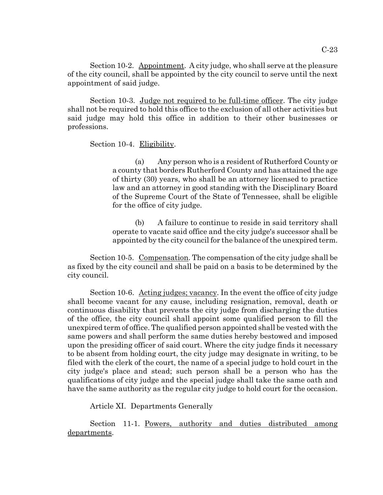Section 10-2. Appointment. A city judge, who shall serve at the pleasure of the city council, shall be appointed by the city council to serve until the next appointment of said judge.

Section 10-3. Judge not required to be full-time officer. The city judge shall not be required to hold this office to the exclusion of all other activities but said judge may hold this office in addition to their other businesses or professions.

#### Section 10-4. Eligibility.

(a) Any person who is a resident of Rutherford County or a county that borders Rutherford County and has attained the age of thirty (30) years, who shall be an attorney licensed to practice law and an attorney in good standing with the Disciplinary Board of the Supreme Court of the State of Tennessee, shall be eligible for the office of city judge.

(b) A failure to continue to reside in said territory shall operate to vacate said office and the city judge's successor shall be appointed by the city council for the balance of the unexpired term.

Section 10-5. Compensation. The compensation of the city judge shall be as fixed by the city council and shall be paid on a basis to be determined by the city council.

Section 10-6. Acting judges; vacancy. In the event the office of city judge shall become vacant for any cause, including resignation, removal, death or continuous disability that prevents the city judge from discharging the duties of the office, the city council shall appoint some qualified person to fill the unexpired term of office. The qualified person appointed shall be vested with the same powers and shall perform the same duties hereby bestowed and imposed upon the presiding officer of said court. Where the city judge finds it necessary to be absent from holding court, the city judge may designate in writing, to be filed with the clerk of the court, the name of a special judge to hold court in the city judge's place and stead; such person shall be a person who has the qualifications of city judge and the special judge shall take the same oath and have the same authority as the regular city judge to hold court for the occasion.

Article XI. Departments Generally

Section 11-1. Powers, authority and duties distributed among departments.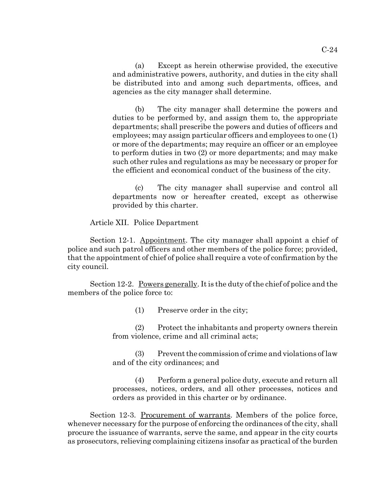(a) Except as herein otherwise provided, the executive and administrative powers, authority, and duties in the city shall be distributed into and among such departments, offices, and agencies as the city manager shall determine.

(b) The city manager shall determine the powers and duties to be performed by, and assign them to, the appropriate departments; shall prescribe the powers and duties of officers and employees; may assign particular officers and employees to one (1) or more of the departments; may require an officer or an employee to perform duties in two (2) or more departments; and may make such other rules and regulations as may be necessary or proper for the efficient and economical conduct of the business of the city.

(c) The city manager shall supervise and control all departments now or hereafter created, except as otherwise provided by this charter.

Article XII. Police Department

Section 12-1. Appointment. The city manager shall appoint a chief of police and such patrol officers and other members of the police force; provided, that the appointment of chief of police shall require a vote of confirmation by the city council.

Section 12-2. Powers generally. It is the duty of the chief of police and the members of the police force to:

(1) Preserve order in the city;

(2) Protect the inhabitants and property owners therein from violence, crime and all criminal acts;

(3) Prevent the commission of crime and violations of law and of the city ordinances; and

(4) Perform a general police duty, execute and return all processes, notices, orders, and all other processes, notices and orders as provided in this charter or by ordinance.

Section 12-3. Procurement of warrants. Members of the police force, whenever necessary for the purpose of enforcing the ordinances of the city, shall procure the issuance of warrants, serve the same, and appear in the city courts as prosecutors, relieving complaining citizens insofar as practical of the burden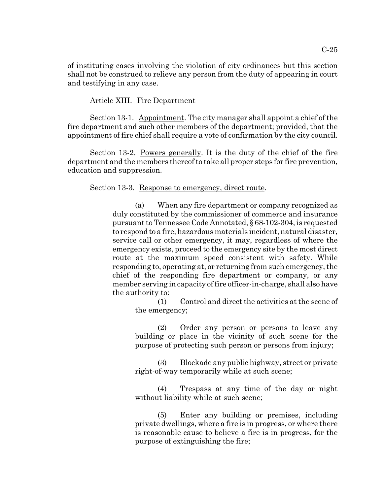of instituting cases involving the violation of city ordinances but this section shall not be construed to relieve any person from the duty of appearing in court and testifying in any case.

Article XIII. Fire Department

Section 13-1. Appointment. The city manager shall appoint a chief of the fire department and such other members of the department; provided, that the appointment of fire chief shall require a vote of confirmation by the city council.

Section 13-2. Powers generally. It is the duty of the chief of the fire department and the members thereof to take all proper steps for fire prevention, education and suppression.

#### Section 13-3. Response to emergency, direct route.

(a) When any fire department or company recognized as duly constituted by the commissioner of commerce and insurance pursuant to Tennessee Code Annotated, § 68-102-304, is requested to respond to a fire, hazardous materials incident, natural disaster, service call or other emergency, it may, regardless of where the emergency exists, proceed to the emergency site by the most direct route at the maximum speed consistent with safety. While responding to, operating at, or returning from such emergency, the chief of the responding fire department or company, or any member serving in capacity of fire officer-in-charge, shall also have the authority to:

(1) Control and direct the activities at the scene of the emergency;

(2) Order any person or persons to leave any building or place in the vicinity of such scene for the purpose of protecting such person or persons from injury;

(3) Blockade any public highway, street or private right-of-way temporarily while at such scene;

(4) Trespass at any time of the day or night without liability while at such scene;

(5) Enter any building or premises, including private dwellings, where a fire is in progress, or where there is reasonable cause to believe a fire is in progress, for the purpose of extinguishing the fire;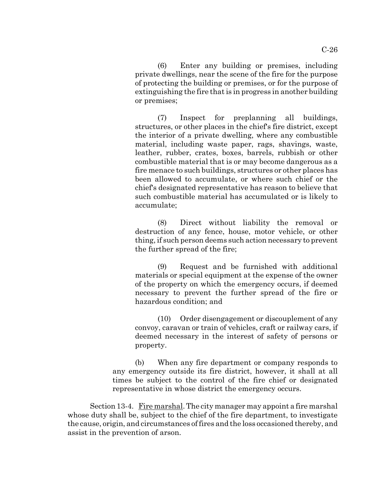(6) Enter any building or premises, including private dwellings, near the scene of the fire for the purpose of protecting the building or premises, or for the purpose of extinguishing the fire that is in progress in another building or premises;

(7) Inspect for preplanning all buildings, structures, or other places in the chief's fire district, except the interior of a private dwelling, where any combustible material, including waste paper, rags, shavings, waste, leather, rubber, crates, boxes, barrels, rubbish or other combustible material that is or may become dangerous as a fire menace to such buildings, structures or other places has been allowed to accumulate, or where such chief or the chief's designated representative has reason to believe that such combustible material has accumulated or is likely to accumulate;

(8) Direct without liability the removal or destruction of any fence, house, motor vehicle, or other thing, if such person deems such action necessary to prevent the further spread of the fire;

(9) Request and be furnished with additional materials or special equipment at the expense of the owner of the property on which the emergency occurs, if deemed necessary to prevent the further spread of the fire or hazardous condition; and

(10) Order disengagement or discouplement of any convoy, caravan or train of vehicles, craft or railway cars, if deemed necessary in the interest of safety of persons or property.

(b) When any fire department or company responds to any emergency outside its fire district, however, it shall at all times be subject to the control of the fire chief or designated representative in whose district the emergency occurs.

Section 13-4. Fire marshal. The city manager may appoint a fire marshal whose duty shall be, subject to the chief of the fire department, to investigate the cause, origin, and circumstances of fires and the loss occasioned thereby, and assist in the prevention of arson.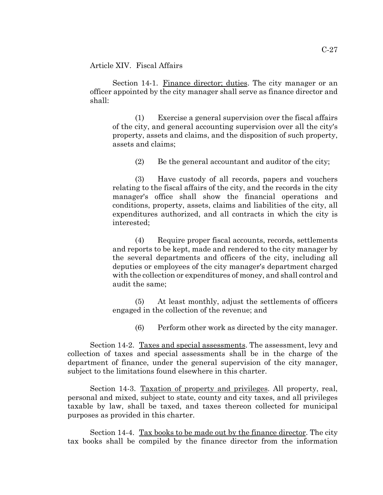Article XIV. Fiscal Affairs

Section 14-1. Finance director; duties. The city manager or an officer appointed by the city manager shall serve as finance director and shall:

(1) Exercise a general supervision over the fiscal affairs of the city, and general accounting supervision over all the city's property, assets and claims, and the disposition of such property, assets and claims;

(2) Be the general accountant and auditor of the city;

(3) Have custody of all records, papers and vouchers relating to the fiscal affairs of the city, and the records in the city manager's office shall show the financial operations and conditions, property, assets, claims and liabilities of the city, all expenditures authorized, and all contracts in which the city is interested;

(4) Require proper fiscal accounts, records, settlements and reports to be kept, made and rendered to the city manager by the several departments and officers of the city, including all deputies or employees of the city manager's department charged with the collection or expenditures of money, and shall control and audit the same;

(5) At least monthly, adjust the settlements of officers engaged in the collection of the revenue; and

(6) Perform other work as directed by the city manager.

Section 14-2. Taxes and special assessments. The assessment, levy and collection of taxes and special assessments shall be in the charge of the department of finance, under the general supervision of the city manager, subject to the limitations found elsewhere in this charter.

Section 14-3. Taxation of property and privileges. All property, real, personal and mixed, subject to state, county and city taxes, and all privileges taxable by law, shall be taxed, and taxes thereon collected for municipal purposes as provided in this charter.

Section 14-4. Tax books to be made out by the finance director. The city tax books shall be compiled by the finance director from the information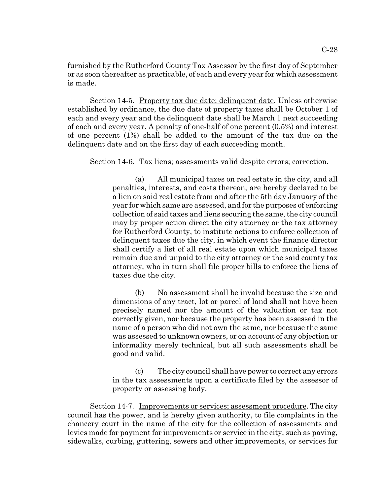furnished by the Rutherford County Tax Assessor by the first day of September or as soon thereafter as practicable, of each and every year for which assessment is made.

Section 14-5. Property tax due date; delinquent date. Unless otherwise established by ordinance, the due date of property taxes shall be October 1 of each and every year and the delinquent date shall be March 1 next succeeding of each and every year. A penalty of one-half of one percent (0.5%) and interest of one percent (1%) shall be added to the amount of the tax due on the delinquent date and on the first day of each succeeding month.

#### Section 14-6. Tax liens; assessments valid despite errors; correction.

(a) All municipal taxes on real estate in the city, and all penalties, interests, and costs thereon, are hereby declared to be a lien on said real estate from and after the 5th day January of the year for which same are assessed, and for the purposes of enforcing collection of said taxes and liens securing the same, the city council may by proper action direct the city attorney or the tax attorney for Rutherford County, to institute actions to enforce collection of delinquent taxes due the city, in which event the finance director shall certify a list of all real estate upon which municipal taxes remain due and unpaid to the city attorney or the said county tax attorney, who in turn shall file proper bills to enforce the liens of taxes due the city.

(b) No assessment shall be invalid because the size and dimensions of any tract, lot or parcel of land shall not have been precisely named nor the amount of the valuation or tax not correctly given, nor because the property has been assessed in the name of a person who did not own the same, nor because the same was assessed to unknown owners, or on account of any objection or informality merely technical, but all such assessments shall be good and valid.

(c) The city council shall have power to correct any errors in the tax assessments upon a certificate filed by the assessor of property or assessing body.

Section 14-7. Improvements or services; assessment procedure. The city council has the power, and is hereby given authority, to file complaints in the chancery court in the name of the city for the collection of assessments and levies made for payment for improvements or service in the city, such as paving, sidewalks, curbing, guttering, sewers and other improvements, or services for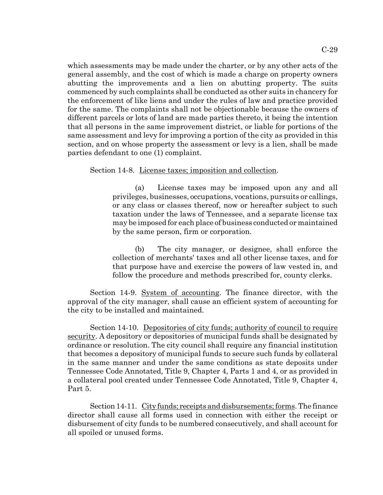which assessments may be made under the charter, or by any other acts of the general assembly, and the cost of which is made a charge on property owners abutting the improvements and a lien on abutting property. The suits commenced by such complaints shall be conducted as other suits in chancery for the enforcement of like liens and under the rules of law and practice provided for the same. The complaints shall not be objectionable because the owners of

different parcels or lots of land are made parties thereto, it being the intention that all persons in the same improvement district, or liable for portions of the same assessment and levy for improving a portion of the city as provided in this section, and on whose property the assessment or levy is a lien, shall be made parties defendant to one (1) complaint.

#### Section 14-8. License taxes; imposition and collection.

(a) License taxes may be imposed upon any and all privileges, businesses, occupations, vocations, pursuits or callings, or any class or classes thereof, now or hereafter subject to such taxation under the laws of Tennessee, and a separate license tax may be imposed for each place of business conducted or maintained by the same person, firm or corporation.

(b) The city manager, or designee, shall enforce the collection of merchants' taxes and all other license taxes, and for that purpose have and exercise the powers of law vested in, and follow the procedure and methods prescribed for, county clerks.

Section 14-9. System of accounting. The finance director, with the approval of the city manager, shall cause an efficient system of accounting for the city to be installed and maintained.

Section 14-10. Depositories of city funds; authority of council to require security. A depository or depositories of municipal funds shall be designated by ordinance or resolution. The city council shall require any financial institution that becomes a depository of municipal funds to secure such funds by collateral in the same manner and under the same conditions as state deposits under Tennessee Code Annotated, Title 9, Chapter 4, Parts 1 and 4, or as provided in a collateral pool created under Tennessee Code Annotated, Title 9, Chapter 4, Part 5.

Section 14-11. City funds; receipts and disbursements; forms. The finance director shall cause all forms used in connection with either the receipt or disbursement of city funds to be numbered consecutively, and shall account for all spoiled or unused forms.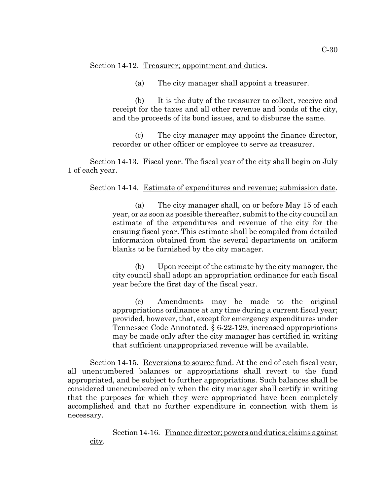Section 14-12. Treasurer; appointment and duties.

(a) The city manager shall appoint a treasurer.

(b) It is the duty of the treasurer to collect, receive and receipt for the taxes and all other revenue and bonds of the city, and the proceeds of its bond issues, and to disburse the same.

(c) The city manager may appoint the finance director, recorder or other officer or employee to serve as treasurer.

Section 14-13. Fiscal year. The fiscal year of the city shall begin on July 1 of each year.

#### Section 14-14. Estimate of expenditures and revenue; submission date.

(a) The city manager shall, on or before May 15 of each year, or as soon as possible thereafter, submit to the city council an estimate of the expenditures and revenue of the city for the ensuing fiscal year. This estimate shall be compiled from detailed information obtained from the several departments on uniform blanks to be furnished by the city manager.

(b) Upon receipt of the estimate by the city manager, the city council shall adopt an appropriation ordinance for each fiscal year before the first day of the fiscal year.

(c) Amendments may be made to the original appropriations ordinance at any time during a current fiscal year; provided, however, that, except for emergency expenditures under Tennessee Code Annotated, § 6-22-129, increased appropriations may be made only after the city manager has certified in writing that sufficient unappropriated revenue will be available.

Section 14-15. Reversions to source fund. At the end of each fiscal year, all unencumbered balances or appropriations shall revert to the fund appropriated, and be subject to further appropriations. Such balances shall be considered unencumbered only when the city manager shall certify in writing that the purposes for which they were appropriated have been completely accomplished and that no further expenditure in connection with them is necessary.

Section 14-16. Finance director; powers and duties; claims against city.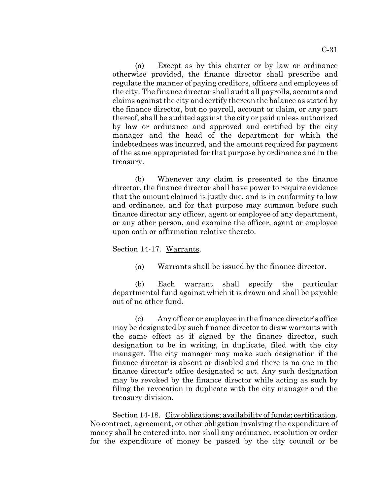(a) Except as by this charter or by law or ordinance otherwise provided, the finance director shall prescribe and regulate the manner of paying creditors, officers and employees of the city. The finance director shall audit all payrolls, accounts and claims against the city and certify thereon the balance as stated by the finance director, but no payroll, account or claim, or any part thereof, shall be audited against the city or paid unless authorized by law or ordinance and approved and certified by the city manager and the head of the department for which the indebtedness was incurred, and the amount required for payment of the same appropriated for that purpose by ordinance and in the treasury.

(b) Whenever any claim is presented to the finance director, the finance director shall have power to require evidence that the amount claimed is justly due, and is in conformity to law and ordinance, and for that purpose may summon before such finance director any officer, agent or employee of any department, or any other person, and examine the officer, agent or employee upon oath or affirmation relative thereto.

Section 14-17. Warrants.

(a) Warrants shall be issued by the finance director.

(b) Each warrant shall specify the particular departmental fund against which it is drawn and shall be payable out of no other fund.

(c) Any officer or employee in the finance director's office may be designated by such finance director to draw warrants with the same effect as if signed by the finance director, such designation to be in writing, in duplicate, filed with the city manager. The city manager may make such designation if the finance director is absent or disabled and there is no one in the finance director's office designated to act. Any such designation may be revoked by the finance director while acting as such by filing the revocation in duplicate with the city manager and the treasury division.

Section 14-18. City obligations; availability of funds; certification. No contract, agreement, or other obligation involving the expenditure of money shall be entered into, nor shall any ordinance, resolution or order for the expenditure of money be passed by the city council or be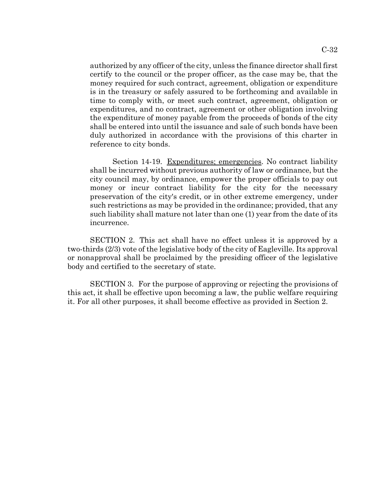authorized by any officer of the city, unless the finance director shall first certify to the council or the proper officer, as the case may be, that the money required for such contract, agreement, obligation or expenditure is in the treasury or safely assured to be forthcoming and available in time to comply with, or meet such contract, agreement, obligation or expenditures, and no contract, agreement or other obligation involving the expenditure of money payable from the proceeds of bonds of the city shall be entered into until the issuance and sale of such bonds have been duly authorized in accordance with the provisions of this charter in reference to city bonds.

Section 14-19. Expenditures; emergencies. No contract liability shall be incurred without previous authority of law or ordinance, but the city council may, by ordinance, empower the proper officials to pay out money or incur contract liability for the city for the necessary preservation of the city's credit, or in other extreme emergency, under such restrictions as may be provided in the ordinance; provided, that any such liability shall mature not later than one (1) year from the date of its incurrence.

SECTION 2. This act shall have no effect unless it is approved by a two-thirds (2/3) vote of the legislative body of the city of Eagleville. Its approval or nonapproval shall be proclaimed by the presiding officer of the legislative body and certified to the secretary of state.

SECTION 3. For the purpose of approving or rejecting the provisions of this act, it shall be effective upon becoming a law, the public welfare requiring it. For all other purposes, it shall become effective as provided in Section 2.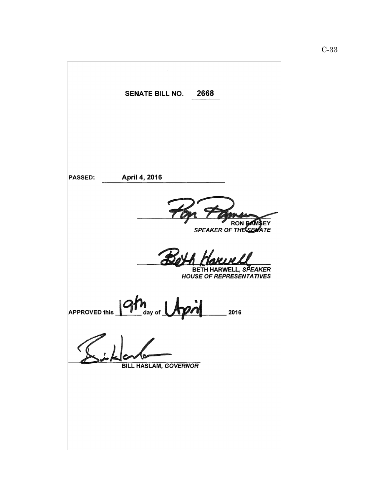2668 SENATE BILL NO. April 4, 2016 **PASSED:** RON BAMSEY<br>SPEAKER OF THE SEMATE BETH HARWELL, SPEAKER<br>HOUSE OF REPRESENTATIVES **APPROVED this** 2016 day of **BILL HASLAM, GOVERNOR**